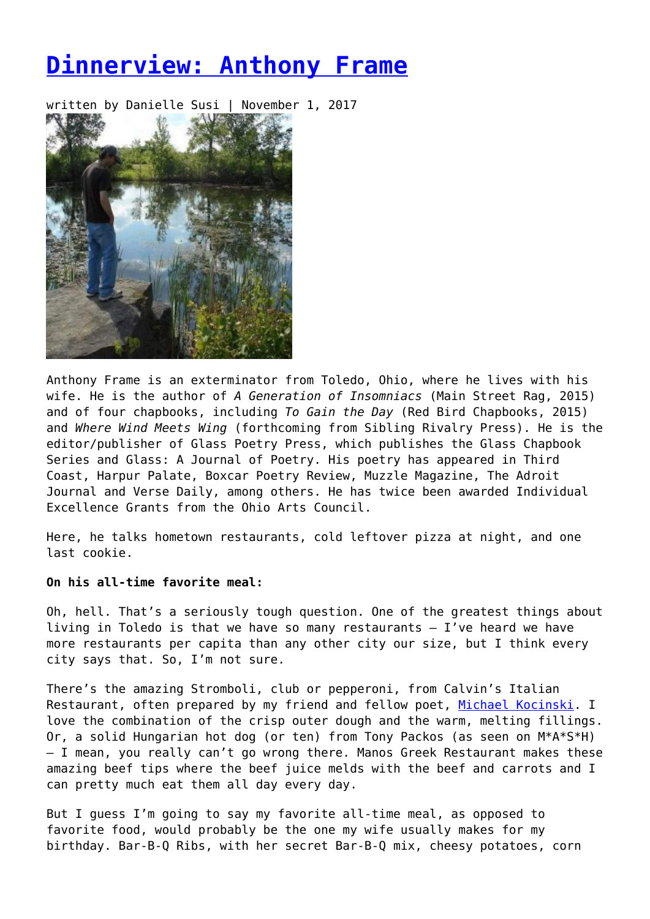# **[Dinnerview: Anthony Frame](https://entropymag.org/dinnerview-anthony-frame/)**

written by Danielle Susi | November 1, 2017



Anthony Frame is an exterminator from Toledo, Ohio, where he lives with his wife. He is the author of *A Generation of Insomniacs* (Main Street Rag, 2015) and of four chapbooks, including *To Gain the Day* (Red Bird Chapbooks, 2015) and *Where Wind Meets Wing* (forthcoming from Sibling Rivalry Press). He is the editor/publisher of Glass Poetry Press, which publishes the Glass Chapbook Series and Glass: A Journal of Poetry. His poetry has appeared in Third Coast, Harpur Palate, Boxcar Poetry Review, Muzzle Magazine, The Adroit Journal and Verse Daily, among others. He has twice been awarded Individual Excellence Grants from the Ohio Arts Council.

Here, he talks hometown restaurants, cold leftover pizza at night, and one last cookie.

## **On his all-time favorite meal:**

Oh, hell. That's a seriously tough question. One of the greatest things about living in Toledo is that we have so many restaurants – I've heard we have more restaurants per capita than any other city our size, but I think every city says that. So, I'm not sure.

There's the amazing Stromboli, club or pepperoni, from Calvin's Italian Restaurant, often prepared by my friend and fellow poet, [Michael Kocinski.](https://entropymag.org/2017/moms-respond/kocinski-sacrament.html) I love the combination of the crisp outer dough and the warm, melting fillings. Or, a solid Hungarian hot dog (or ten) from Tony Packos (as seen on M\*A\*S\*H) – I mean, you really can't go wrong there. Manos Greek Restaurant makes these amazing beef tips where the beef juice melds with the beef and carrots and I can pretty much eat them all day every day.

But I guess I'm going to say my favorite all-time meal, as opposed to favorite food, would probably be the one my wife usually makes for my birthday. Bar-B-Q Ribs, with her secret Bar-B-Q mix, cheesy potatoes, corn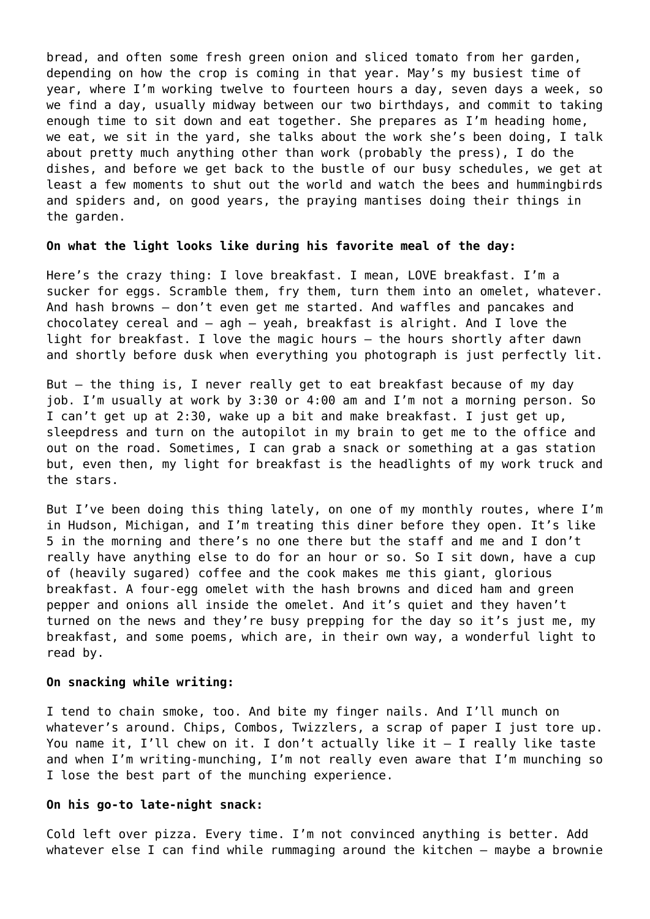bread, and often some fresh green onion and sliced tomato from her garden, depending on how the crop is coming in that year. May's my busiest time of year, where I'm working twelve to fourteen hours a day, seven days a week, so we find a day, usually midway between our two birthdays, and commit to taking enough time to sit down and eat together. She prepares as I'm heading home, we eat, we sit in the yard, she talks about the work she's been doing, I talk about pretty much anything other than work (probably the press), I do the dishes, and before we get back to the bustle of our busy schedules, we get at least a few moments to shut out the world and watch the bees and hummingbirds and spiders and, on good years, the praying mantises doing their things in the garden.

#### **On what the light looks like during his favorite meal of the day:**

Here's the crazy thing: I love breakfast. I mean, LOVE breakfast. I'm a sucker for eggs. Scramble them, fry them, turn them into an omelet, whatever. And hash browns – don't even get me started. And waffles and pancakes and chocolatey cereal and – agh – yeah, breakfast is alright. And I love the light for breakfast. I love the magic hours – the hours shortly after dawn and shortly before dusk when everything you photograph is just perfectly lit.

But – the thing is, I never really get to eat breakfast because of my day job. I'm usually at work by 3:30 or 4:00 am and I'm not a morning person. So I can't get up at 2:30, wake up a bit and make breakfast. I just get up, sleepdress and turn on the autopilot in my brain to get me to the office and out on the road. Sometimes, I can grab a snack or something at a gas station but, even then, my light for breakfast is the headlights of my work truck and the stars.

But I've been doing this thing lately, on one of my monthly routes, where I'm in Hudson, Michigan, and I'm treating this diner before they open. It's like 5 in the morning and there's no one there but the staff and me and I don't really have anything else to do for an hour or so. So I sit down, have a cup of (heavily sugared) coffee and the cook makes me this giant, glorious breakfast. A four-egg omelet with the hash browns and diced ham and green pepper and onions all inside the omelet. And it's quiet and they haven't turned on the news and they're busy prepping for the day so it's just me, my breakfast, and some poems, which are, in their own way, a wonderful light to read by.

#### **On snacking while writing:**

I tend to chain smoke, too. And bite my finger nails. And I'll munch on whatever's around. Chips, Combos, Twizzlers, a scrap of paper I just tore up. You name it, I'll chew on it. I don't actually like it – I really like taste and when I'm writing-munching, I'm not really even aware that I'm munching so I lose the best part of the munching experience.

#### **On his go-to late-night snack:**

Cold left over pizza. Every time. I'm not convinced anything is better. Add whatever else I can find while rummaging around the kitchen – maybe a brownie